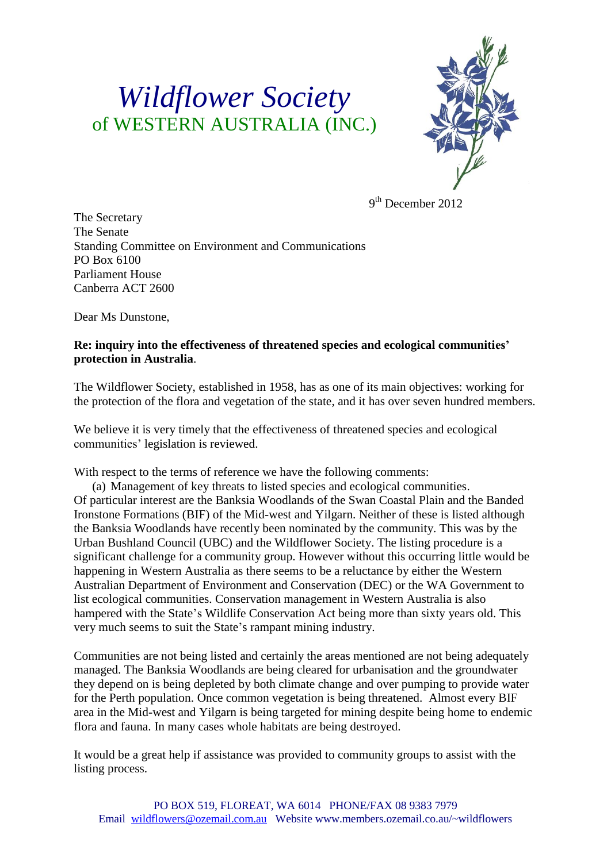## *Wildflower Society* of WESTERN AUSTRALIA (INC.)



9<sup>th</sup> December 2012

The Secretary The Senate Standing Committee on Environment and Communications PO Box 6100 Parliament House Canberra ACT 2600

Dear Ms Dunstone,

## **Re: inquiry into the effectiveness of threatened species and ecological communities' protection in Australia**.

The Wildflower Society, established in 1958, has as one of its main objectives: working for the protection of the flora and vegetation of the state, and it has over seven hundred members.

We believe it is very timely that the effectiveness of threatened species and ecological communities' legislation is reviewed.

With respect to the terms of reference we have the following comments:

(a) Management of key threats to listed species and ecological communities. Of particular interest are the Banksia Woodlands of the Swan Coastal Plain and the Banded Ironstone Formations (BIF) of the Mid-west and Yilgarn. Neither of these is listed although the Banksia Woodlands have recently been nominated by the community. This was by the Urban Bushland Council (UBC) and the Wildflower Society. The listing procedure is a significant challenge for a community group. However without this occurring little would be happening in Western Australia as there seems to be a reluctance by either the Western Australian Department of Environment and Conservation (DEC) or the WA Government to list ecological communities. Conservation management in Western Australia is also hampered with the State's Wildlife Conservation Act being more than sixty years old. This very much seems to suit the State's rampant mining industry.

Communities are not being listed and certainly the areas mentioned are not being adequately managed. The Banksia Woodlands are being cleared for urbanisation and the groundwater they depend on is being depleted by both climate change and over pumping to provide water for the Perth population. Once common vegetation is being threatened. Almost every BIF area in the Mid-west and Yilgarn is being targeted for mining despite being home to endemic flora and fauna. In many cases whole habitats are being destroyed.

It would be a great help if assistance was provided to community groups to assist with the listing process.